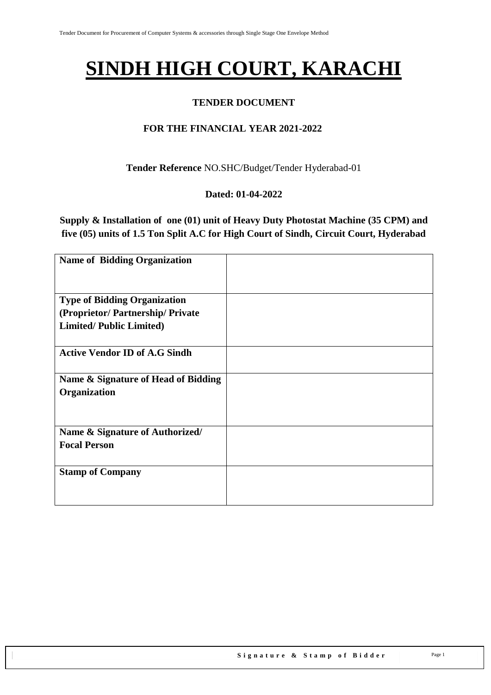# **SINDH HIGH COURT, KARACHI**

#### **TENDER DOCUMENT**

#### **FOR THE FINANCIAL YEAR 2021-2022**

**Tender Reference** NO.SHC/Budget/Tender Hyderabad-01

#### **Dated: 01-04-2022**

**Supply & Installation of one (01) unit of Heavy Duty Photostat Machine (35 CPM) and five (05) units of 1.5 Ton Split A.C for High Court of Sindh, Circuit Court, Hyderabad**

| <b>Name of Bidding Organization</b>  |  |
|--------------------------------------|--|
|                                      |  |
| <b>Type of Bidding Organization</b>  |  |
| (Proprietor/Partnership/Private      |  |
| <b>Limited/Public Limited)</b>       |  |
|                                      |  |
| <b>Active Vendor ID of A.G Sindh</b> |  |
|                                      |  |
| Name & Signature of Head of Bidding  |  |
| Organization                         |  |
|                                      |  |
|                                      |  |
| Name & Signature of Authorized/      |  |
| <b>Focal Person</b>                  |  |
|                                      |  |
| <b>Stamp of Company</b>              |  |
|                                      |  |
|                                      |  |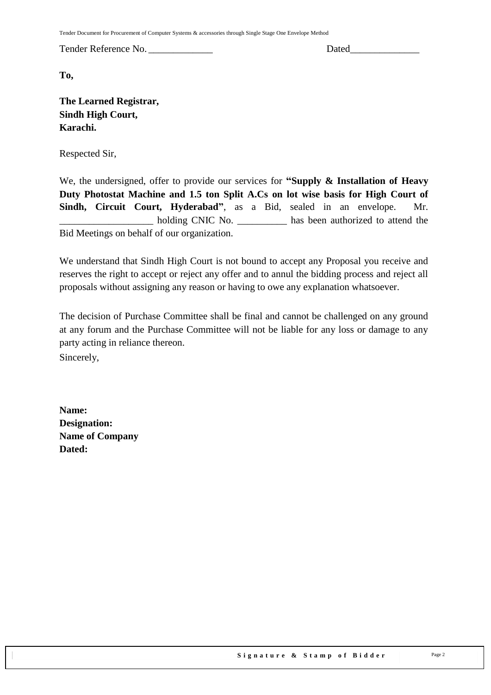Tender Document for Procurement of Computer Systems & accessories through Single Stage One Envelope Method

Tender Reference No. \_\_\_\_\_\_\_\_\_\_\_\_\_ Dated\_\_\_\_\_\_\_\_\_\_\_\_\_\_

**To,** 

**The Learned Registrar, Sindh High Court, Karachi.**

Respected Sir,

We, the undersigned, offer to provide our services for **"Supply & Installation of Heavy Duty Photostat Machine and 1.5 ton Split A.Cs on lot wise basis for High Court of Sindh, Circuit Court, Hyderabad"**, as a Bid, sealed in an envelope. Mr. \_\_\_\_\_\_\_\_\_\_\_\_\_\_\_\_\_\_\_ holding CNIC No. \_\_\_\_\_\_\_\_\_\_ has been authorized to attend the Bid Meetings on behalf of our organization.

We understand that Sindh High Court is not bound to accept any Proposal you receive and reserves the right to accept or reject any offer and to annul the bidding process and reject all proposals without assigning any reason or having to owe any explanation whatsoever.

The decision of Purchase Committee shall be final and cannot be challenged on any ground at any forum and the Purchase Committee will not be liable for any loss or damage to any party acting in reliance thereon. Sincerely,

**Name: Designation: Name of Company Dated:**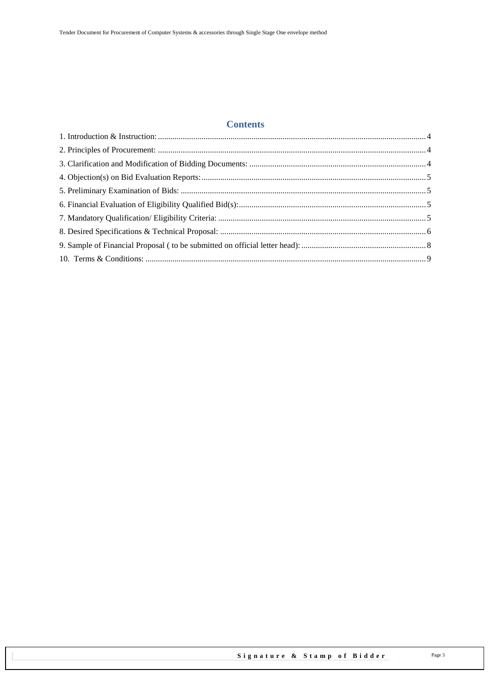## **Contents**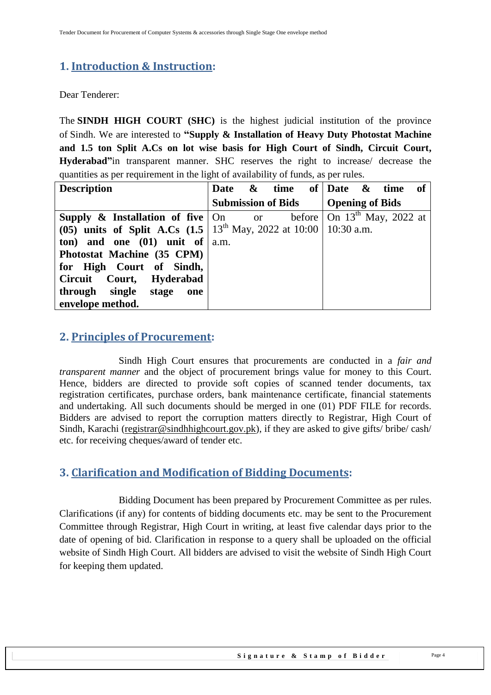## <span id="page-3-0"></span>**1. Introduction & Instruction:**

Dear Tenderer:

The **SINDH HIGH COURT (SHC)** is the highest judicial institution of the province of [Sindh.](https://en.wikipedia.org/wiki/Sindh) We are interested to **"Supply & Installation of Heavy Duty Photostat Machine and 1.5 ton Split A.Cs on lot wise basis for High Court of Sindh, Circuit Court, Hyderabad"**in transparent manner. SHC reserves the right to increase/ decrease the quantities as per requirement in the light of availability of funds, as per rules.

| <b>Description</b>                                                                                     |                                      |  |  | Date $\&$ time of Date $\&$ time of |  |  |  |
|--------------------------------------------------------------------------------------------------------|--------------------------------------|--|--|-------------------------------------|--|--|--|
|                                                                                                        | Submission of Bids   Opening of Bids |  |  |                                     |  |  |  |
| <b>Supply &amp; Installation of five</b> $\vert$ On or before $\vert$ On 13 <sup>th</sup> May, 2022 at |                                      |  |  |                                     |  |  |  |
| (05) units of Split A.Cs $(1.5 \nvert 13^{th}$ May, 2022 at 10:00   10:30 a.m.                         |                                      |  |  |                                     |  |  |  |
| ton) and one $(01)$ unit of $ a.m.$                                                                    |                                      |  |  |                                     |  |  |  |
| Photostat Machine (35 CPM)                                                                             |                                      |  |  |                                     |  |  |  |
| for High Court of Sindh,                                                                               |                                      |  |  |                                     |  |  |  |
| Circuit Court, Hyderabad                                                                               |                                      |  |  |                                     |  |  |  |
| through single stage<br>one                                                                            |                                      |  |  |                                     |  |  |  |
| envelope method.                                                                                       |                                      |  |  |                                     |  |  |  |

#### <span id="page-3-1"></span>**2. Principles of Procurement:**

Sindh High Court ensures that procurements are conducted in a *fair and transparent manner* and the object of procurement brings value for money to this Court. Hence, bidders are directed to provide soft copies of scanned tender documents, tax registration certificates, purchase orders, bank maintenance certificate, financial statements and undertaking. All such documents should be merged in one (01) PDF FILE for records. Bidders are advised to report the corruption matters directly to Registrar, High Court of Sindh, Karachi [\(registrar@sindhhighcourt.gov.pk\)](mailto:registrar@sindhhighcourt.gov.pk), if they are asked to give gifts/ bribe/ cash/ etc. for receiving cheques/award of tender etc.

#### <span id="page-3-2"></span>**3. Clarification and Modification of Bidding Documents:**

Bidding Document has been prepared by Procurement Committee as per rules. Clarifications (if any) for contents of bidding documents etc. may be sent to the Procurement Committee through Registrar, High Court in writing, at least five calendar days prior to the date of opening of bid. Clarification in response to a query shall be uploaded on the official website of Sindh High Court. All bidders are advised to visit the website of Sindh High Court for keeping them updated.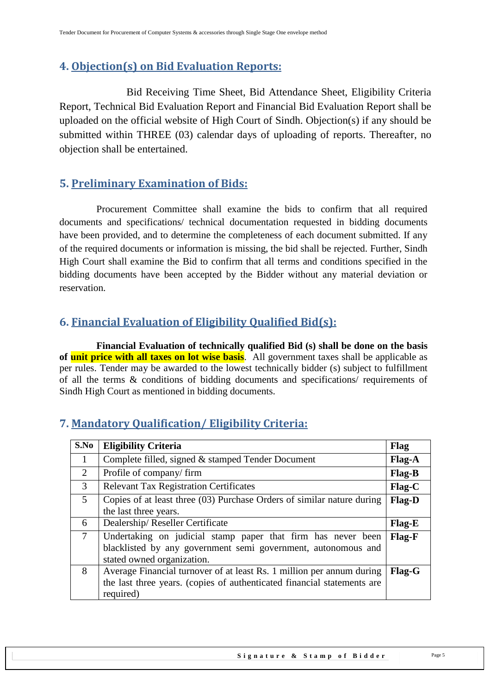## <span id="page-4-0"></span>**4. Objection(s) on Bid Evaluation Reports:**

 Bid Receiving Time Sheet, Bid Attendance Sheet, Eligibility Criteria Report, Technical Bid Evaluation Report and Financial Bid Evaluation Report shall be uploaded on the official website of High Court of Sindh. Objection(s) if any should be submitted within THREE (03) calendar days of uploading of reports. Thereafter, no objection shall be entertained.

## <span id="page-4-1"></span>**5. Preliminary Examination of Bids:**

 Procurement Committee shall examine the bids to confirm that all required documents and specifications/ technical documentation requested in bidding documents have been provided, and to determine the completeness of each document submitted. If any of the required documents or information is missing, the bid shall be rejected. Further, Sindh High Court shall examine the Bid to confirm that all terms and conditions specified in the bidding documents have been accepted by the Bidder without any material deviation or reservation.

## <span id="page-4-2"></span>**6. Financial Evaluation of Eligibility Qualified Bid(s):**

 **Financial Evaluation of technically qualified Bid (s) shall be done on the basis of unit price with all taxes on lot wise basis**. All government taxes shall be applicable as per rules. Tender may be awarded to the lowest technically bidder (s) subject to fulfillment of all the terms & conditions of bidding documents and specifications/ requirements of Sindh High Court as mentioned in bidding documents.

| S.No           | <b>Eligibility Criteria</b>                                             | Flag          |
|----------------|-------------------------------------------------------------------------|---------------|
| $\mathbf{1}$   | Complete filled, signed & stamped Tender Document                       | Flag-A        |
| $\overline{2}$ | Profile of company/firm                                                 | <b>Flag-B</b> |
| 3              | <b>Relevant Tax Registration Certificates</b>                           | $Flag-C$      |
| $\overline{5}$ | Copies of at least three (03) Purchase Orders of similar nature during  | Flag-D        |
|                | the last three years.                                                   |               |
| 6              | Dealership/Reseller Certificate                                         | Flag-E        |
| $\tau$         | Undertaking on judicial stamp paper that firm has never been            | <b>Flag-F</b> |
|                | blacklisted by any government semi government, autonomous and           |               |
|                | stated owned organization.                                              |               |
| 8              | Average Financial turnover of at least Rs. 1 million per annum during   | <b>Flag-G</b> |
|                | the last three years. (copies of authenticated financial statements are |               |
|                | required)                                                               |               |

## <span id="page-4-3"></span>**7. Mandatory Qualification/ Eligibility Criteria:**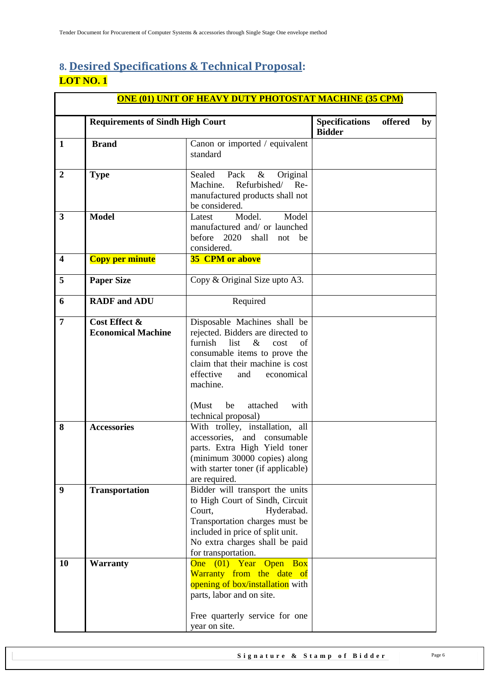# <span id="page-5-0"></span>**8. Desired Specifications & Technical Proposal: LOT NO. 1**

| <b>ONE (01) UNIT OF HEAVY DUTY PHOTOSTAT MACHINE (35 CPM)</b> |                                                                                                                                                                                                                                                    |                                                                                                                                                                                                                                                                                         |                                        |         |    |  |  |  |
|---------------------------------------------------------------|----------------------------------------------------------------------------------------------------------------------------------------------------------------------------------------------------------------------------------------------------|-----------------------------------------------------------------------------------------------------------------------------------------------------------------------------------------------------------------------------------------------------------------------------------------|----------------------------------------|---------|----|--|--|--|
|                                                               | <b>Requirements of Sindh High Court</b>                                                                                                                                                                                                            |                                                                                                                                                                                                                                                                                         | <b>Specifications</b><br><b>Bidder</b> | offered | by |  |  |  |
| $\mathbf{1}$                                                  | <b>Brand</b>                                                                                                                                                                                                                                       | Canon or imported / equivalent<br>standard                                                                                                                                                                                                                                              |                                        |         |    |  |  |  |
| $\overline{2}$                                                | <b>Type</b>                                                                                                                                                                                                                                        | Sealed<br>Pack<br>$\&$<br>Original<br>Refurbished/<br>Machine.<br>Re-<br>manufactured products shall not<br>be considered.                                                                                                                                                              |                                        |         |    |  |  |  |
| $\mathbf{3}$                                                  | <b>Model</b>                                                                                                                                                                                                                                       | Model.<br>Model<br>Latest<br>manufactured and/ or launched<br>before 2020<br>shall<br>not<br>be<br>considered.                                                                                                                                                                          |                                        |         |    |  |  |  |
| $\overline{\mathbf{4}}$                                       | <b>Copy per minute</b>                                                                                                                                                                                                                             | <b>35 CPM or above</b>                                                                                                                                                                                                                                                                  |                                        |         |    |  |  |  |
| 5                                                             | <b>Paper Size</b>                                                                                                                                                                                                                                  | Copy & Original Size upto A3.                                                                                                                                                                                                                                                           |                                        |         |    |  |  |  |
| 6                                                             | <b>RADF</b> and <b>ADU</b>                                                                                                                                                                                                                         | Required                                                                                                                                                                                                                                                                                |                                        |         |    |  |  |  |
| $\overline{7}$                                                | Cost Effect &<br><b>Economical Machine</b>                                                                                                                                                                                                         | Disposable Machines shall be<br>rejected. Bidders are directed to<br>furnish<br>$\&$<br>list<br>cost<br>of<br>consumable items to prove the<br>claim that their machine is cost<br>effective<br>economical<br>and<br>machine.<br>with<br>(Must<br>be<br>attached<br>technical proposal) |                                        |         |    |  |  |  |
| 8                                                             | <b>Accessories</b>                                                                                                                                                                                                                                 | With trolley, installation, all<br>accessories, and consumable<br>parts. Extra High Yield toner<br>(minimum 30000 copies) along<br>with starter toner (if applicable)<br>are required.                                                                                                  |                                        |         |    |  |  |  |
| 9                                                             | Bidder will transport the units<br><b>Transportation</b><br>to High Court of Sindh, Circuit<br>Court,<br>Hyderabad.<br>Transportation charges must be<br>included in price of split unit.<br>No extra charges shall be paid<br>for transportation. |                                                                                                                                                                                                                                                                                         |                                        |         |    |  |  |  |
| <b>10</b>                                                     | <b>Warranty</b>                                                                                                                                                                                                                                    | One (01) Year Open<br><b>Box</b><br>Warranty from the date of<br>opening of box/installation with<br>parts, labor and on site.<br>Free quarterly service for one<br>year on site.                                                                                                       |                                        |         |    |  |  |  |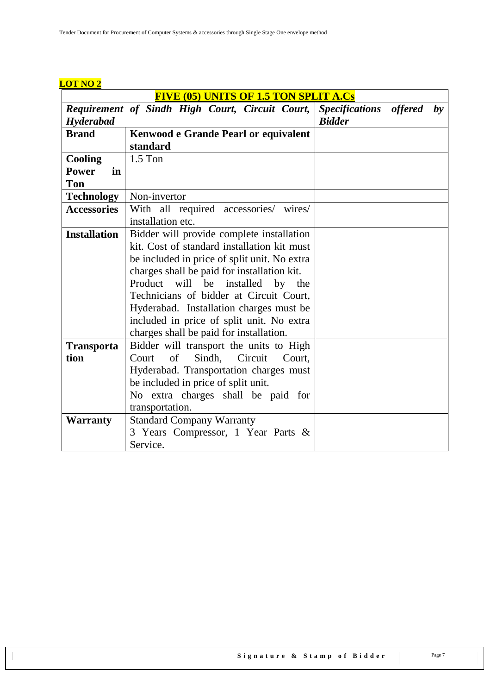| <b>FIVE (05) UNITS OF 1.5 TON SPLIT A.Cs</b> |                                                 |                                            |  |  |  |  |
|----------------------------------------------|-------------------------------------------------|--------------------------------------------|--|--|--|--|
|                                              | Requirement of Sindh High Court, Circuit Court, | <b>Specifications</b><br>offered<br>$b\nu$ |  |  |  |  |
| Hyderabad                                    |                                                 | <b>Bidder</b>                              |  |  |  |  |
| <b>Brand</b>                                 | <b>Kenwood e Grande Pearl or equivalent</b>     |                                            |  |  |  |  |
|                                              | standard                                        |                                            |  |  |  |  |
| <b>Cooling</b>                               | $1.5$ Ton                                       |                                            |  |  |  |  |
| <b>Power</b><br>in                           |                                                 |                                            |  |  |  |  |
| <b>Ton</b>                                   |                                                 |                                            |  |  |  |  |
| <b>Technology</b>                            | Non-invertor                                    |                                            |  |  |  |  |
| <b>Accessories</b>                           | With all required accessories/ wires/           |                                            |  |  |  |  |
|                                              | installation etc.                               |                                            |  |  |  |  |
| <b>Installation</b>                          | Bidder will provide complete installation       |                                            |  |  |  |  |
|                                              | kit. Cost of standard installation kit must     |                                            |  |  |  |  |
|                                              | be included in price of split unit. No extra    |                                            |  |  |  |  |
|                                              | charges shall be paid for installation kit.     |                                            |  |  |  |  |
|                                              | will<br>Product<br>be<br>installed<br>by<br>the |                                            |  |  |  |  |
|                                              | Technicians of bidder at Circuit Court,         |                                            |  |  |  |  |
|                                              | Hyderabad. Installation charges must be         |                                            |  |  |  |  |
|                                              | included in price of split unit. No extra       |                                            |  |  |  |  |
|                                              | charges shall be paid for installation.         |                                            |  |  |  |  |
| <b>Transporta</b>                            | Bidder will transport the units to High         |                                            |  |  |  |  |
| tion                                         | of<br>Sindh, Circuit<br>Court<br>Court,         |                                            |  |  |  |  |
|                                              | Hyderabad. Transportation charges must          |                                            |  |  |  |  |
|                                              | be included in price of split unit.             |                                            |  |  |  |  |
|                                              | No extra charges shall be paid for              |                                            |  |  |  |  |
|                                              | transportation.                                 |                                            |  |  |  |  |
| <b>Warranty</b>                              | <b>Standard Company Warranty</b>                |                                            |  |  |  |  |
|                                              | 3 Years Compressor, 1 Year Parts &              |                                            |  |  |  |  |
|                                              | Service.                                        |                                            |  |  |  |  |

#### **LOT NO 2**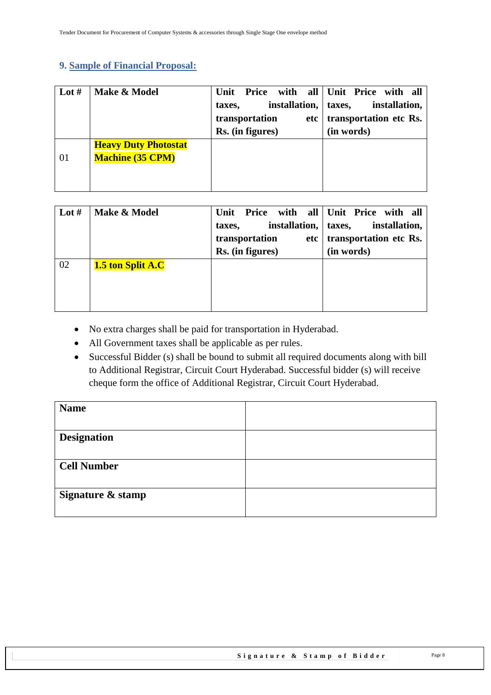#### <span id="page-7-0"></span>**9. Sample of Financial Proposal:**

| Lot $#$ | Make & Model                                           | Unit Price with all Unit Price with all<br>installation,   taxes,<br>taxes,<br>transportation<br>etc<br>Rs. (in figures) | installation,<br>transportation etc Rs.<br>(in words) |
|---------|--------------------------------------------------------|--------------------------------------------------------------------------------------------------------------------------|-------------------------------------------------------|
| 01      | <b>Heavy Duty Photostat</b><br><b>Machine (35 CPM)</b> |                                                                                                                          |                                                       |

| Lot $#$ | Make & Model      | Price<br>Unit<br>installation,   taxes,<br>taxes,<br>transportation<br>etc <sub>1</sub><br>Rs. (in figures) | with all Unit Price with all<br>installation,<br>transportation etc Rs.<br>(in words) |
|---------|-------------------|-------------------------------------------------------------------------------------------------------------|---------------------------------------------------------------------------------------|
| 02      | 1.5 ton Split A.C |                                                                                                             |                                                                                       |

- No extra charges shall be paid for transportation in Hyderabad.
- All Government taxes shall be applicable as per rules.
- Successful Bidder (s) shall be bound to submit all required documents along with bill to Additional Registrar, Circuit Court Hyderabad. Successful bidder (s) will receive cheque form the office of Additional Registrar, Circuit Court Hyderabad.

<span id="page-7-1"></span>

| <b>Name</b>        |  |
|--------------------|--|
|                    |  |
| <b>Designation</b> |  |
|                    |  |
| <b>Cell Number</b> |  |
|                    |  |
| Signature & stamp  |  |
|                    |  |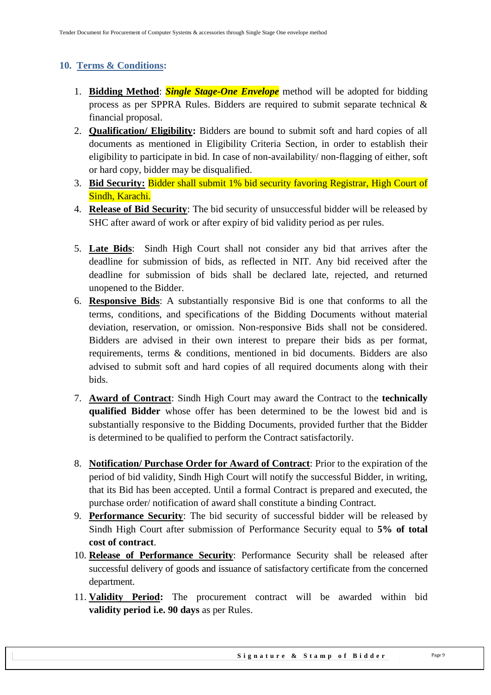## **10. Terms & Conditions:**

- 1. **Bidding Method**: *Single Stage-One Envelope* method will be adopted for bidding process as per SPPRA Rules. Bidders are required to submit separate technical & financial proposal.
- 2. **Qualification/ Eligibility:** Bidders are bound to submit soft and hard copies of all documents as mentioned in Eligibility Criteria Section, in order to establish their eligibility to participate in bid. In case of non-availability/ non-flagging of either, soft or hard copy, bidder may be disqualified.
- 3. **Bid Security:** Bidder shall submit 1% bid security favoring Registrar, High Court of Sindh, Karachi.
- 4. **Release of Bid Security**: The bid security of unsuccessful bidder will be released by SHC after award of work or after expiry of bid validity period as per rules.
- 5. **Late Bids**: Sindh High Court shall not consider any bid that arrives after the deadline for submission of bids, as reflected in NIT. Any bid received after the deadline for submission of bids shall be declared late, rejected, and returned unopened to the Bidder.
- 6. **Responsive Bids**: A substantially responsive Bid is one that conforms to all the terms, conditions, and specifications of the Bidding Documents without material deviation, reservation, or omission. Non-responsive Bids shall not be considered. Bidders are advised in their own interest to prepare their bids as per format, requirements, terms & conditions, mentioned in bid documents. Bidders are also advised to submit soft and hard copies of all required documents along with their bids.
- 7. **Award of Contract**: Sindh High Court may award the Contract to the **technically qualified Bidder** whose offer has been determined to be the lowest bid and is substantially responsive to the Bidding Documents, provided further that the Bidder is determined to be qualified to perform the Contract satisfactorily.
- 8. **Notification/ Purchase Order for Award of Contract**: Prior to the expiration of the period of bid validity, Sindh High Court will notify the successful Bidder, in writing, that its Bid has been accepted. Until a formal Contract is prepared and executed, the purchase order/ notification of award shall constitute a binding Contract.
- 9. **Performance Security**: The bid security of successful bidder will be released by Sindh High Court after submission of Performance Security equal to **5% of total cost of contract**.
- 10. **Release of Performance Security**: Performance Security shall be released after successful delivery of goods and issuance of satisfactory certificate from the concerned department.
- 11. **Validity Period:** The procurement contract will be awarded within bid **validity period i.e. 90 days** as per Rules.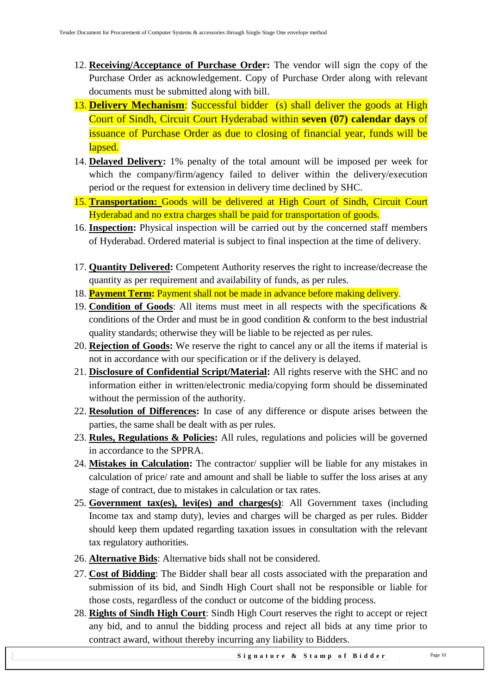- 12. **Receiving/Acceptance of Purchase Order:** The vendor will sign the copy of the Purchase Order as acknowledgement. Copy of Purchase Order along with relevant documents must be submitted along with bill.
- 13. **Delivery Mechanism**: Successful bidder (s) shall deliver the goods at High Court of Sindh, Circuit Court Hyderabad within **seven (07) calendar days** of issuance of Purchase Order as due to closing of financial year, funds will be lapsed.
- 14. **Delayed Delivery:** 1% penalty of the total amount will be imposed per week for which the company/firm/agency failed to deliver within the delivery/execution period or the request for extension in delivery time declined by SHC.
- 15. **Transportation:** Goods will be delivered at High Court of Sindh, Circuit Court Hyderabad and no extra charges shall be paid for transportation of goods.
- 16. **Inspection:** Physical inspection will be carried out by the concerned staff members of Hyderabad. Ordered material is subject to final inspection at the time of delivery.
- 17. **Quantity Delivered:** Competent Authority reserves the right to increase/decrease the quantity as per requirement and availability of funds, as per rules.
- 18. **Payment Term:** Payment shall not be made in advance before making delivery.
- 19. **Condition of Goods**: All items must meet in all respects with the specifications & conditions of the Order and must be in good condition & conform to the best industrial quality standards; otherwise they will be liable to be rejected as per rules.
- 20. **Rejection of Goods:** We reserve the right to cancel any or all the items if material is not in accordance with our specification or if the delivery is delayed.
- 21. **Disclosure of Confidential Script/Material:** All rights reserve with the SHC and no information either in written/electronic media/copying form should be disseminated without the permission of the authority.
- 22. **Resolution of Differences:** In case of any difference or dispute arises between the parties, the same shall be dealt with as per rules.
- 23. **Rules, Regulations & Policies:** All rules, regulations and policies will be governed in accordance to the SPPRA.
- 24. **Mistakes in Calculation:** The contractor/ supplier will be liable for any mistakes in calculation of price/ rate and amount and shall be liable to suffer the loss arises at any stage of contract, due to mistakes in calculation or tax rates.
- 25. **Government tax(es), levi(es) and charges(s)**: All Government taxes (including Income tax and stamp duty), levies and charges will be charged as per rules. Bidder should keep them updated regarding taxation issues in consultation with the relevant tax regulatory authorities.
- 26. **Alternative Bids**: Alternative bids shall not be considered.
- 27. **Cost of Bidding**: The Bidder shall bear all costs associated with the preparation and submission of its bid, and Sindh High Court shall not be responsible or liable for those costs, regardless of the conduct or outcome of the bidding process.
- 28. **Rights of Sindh High Court**: Sindh High Court reserves the right to accept or reject any bid, and to annul the bidding process and reject all bids at any time prior to contract award, without thereby incurring any liability to Bidders.